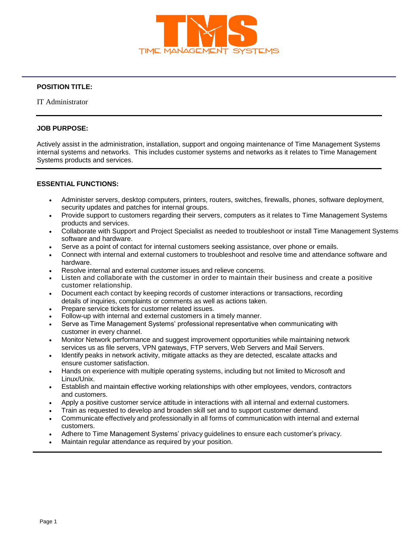

# **POSITION TITLE:**

IT Administrator

### **JOB PURPOSE:**

Actively assist in the administration, installation, support and ongoing maintenance of Time Management Systems internal systems and networks. This includes customer systems and networks as it relates to Time Management Systems products and services.

## **ESSENTIAL FUNCTIONS:**

- Administer servers, desktop computers, printers, routers, switches, firewalls, phones, software deployment, security updates and patches for internal groups.
- Provide support to customers regarding their servers, computers as it relates to Time Management Systems products and services.
- Collaborate with Support and Project Specialist as needed to troubleshoot or install Time Management Systems software and hardware.
- Serve as a point of contact for internal customers seeking assistance, over phone or emails.
- Connect with internal and external customers to troubleshoot and resolve time and attendance software and hardware.
- Resolve internal and external customer issues and relieve concerns.
- Listen and collaborate with the customer in order to maintain their business and create a positive customer relationship.
- Document each contact by keeping records of customer interactions or transactions, recording details of inquiries, complaints or comments as well as actions taken.
- Prepare service tickets for customer related issues.
- Follow-up with internal and external customers in a timely manner.
- Serve as Time Management Systems' professional representative when communicating with customer in every channel.
- Monitor Network performance and suggest improvement opportunities while maintaining network services us as file servers, VPN gateways, FTP servers, Web Servers and Mail Servers.
- Identify peaks in network activity, mitigate attacks as they are detected, escalate attacks and ensure customer satisfaction.
- Hands on experience with multiple operating systems, including but not limited to Microsoft and Linux/Unix.
- Establish and maintain effective working relationships with other employees, vendors, contractors and customers.
- Apply a positive customer service attitude in interactions with all internal and external customers.
- Train as requested to develop and broaden skill set and to support customer demand.
- Communicate effectively and professionally in all forms of communication with internal and external customers.
- Adhere to Time Management Systems' privacy guidelines to ensure each customer's privacy.
- Maintain regular attendance as required by your position.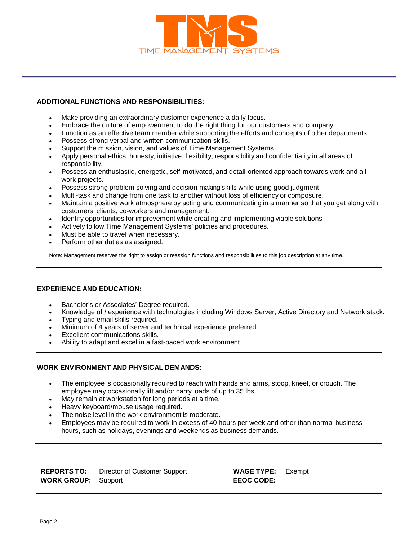

## **ADDITIONAL FUNCTIONS AND RESPONSIBILITIES:**

- Make providing an extraordinary customer experience a daily focus.
- Embrace the culture of empowerment to do the right thing for our customers and company.
- Function as an effective team member while supporting the efforts and concepts of other departments.
- Possess strong verbal and written communication skills.
- Support the mission, vision, and values of Time Management Systems.
- Apply personal ethics, honesty, initiative, flexibility, responsibility and confidentiality in all areas of responsibility.
- Possess an enthusiastic, energetic, self-motivated, and detail-oriented approach towards work and all work projects.
- Possess strong problem solving and decision-making skills while using good judgment.
- Multi-task and change from one task to another without loss of efficiency or composure.
- Maintain a positive work atmosphere by acting and communicating in a manner so that you get along with customers, clients, co-workers and management.
- Identify opportunities for improvement while creating and implementing viable solutions
- Actively follow Time Management Systems' policies and procedures.
- Must be able to travel when necessary.
- Perform other duties as assigned.

Note: Management reserves the right to assign or reassign functions and responsibilities to this job description at any time.

#### **EXPERIENCE AND EDUCATION:**

- Bachelor's or Associates' Degree required.
- Knowledge of / experience with technologies including Windows Server, Active Directory and Network stack.
- Typing and email skills required.
- Minimum of 4 years of server and technical experience preferred.
- Excellent communications skills.
- Ability to adapt and excel in a fast-paced work environment.

#### **WORK ENVIRONMENT AND PHYSICAL DEMANDS:**

- The employee is occasionally required to reach with hands and arms, stoop, kneel, or crouch. The employee may occasionally lift and/or carry loads of up to 35 lbs.
- May remain at workstation for long periods at a time.
- Heavy keyboard/mouse usage required.
- The noise level in the work environment is moderate.
- Employees may be required to work in excess of 40 hours per week and other than normal business hours, such as holidays, evenings and weekends as business demands.

| <b>REPORTS TO:</b>         | Director of Customer Support |
|----------------------------|------------------------------|
| <b>WORK GROUP:</b> Support |                              |

**REPORTS TO:** Director of Customer Support **WAGE TYPE:** Exempt  $EEOC$  **CODE:**